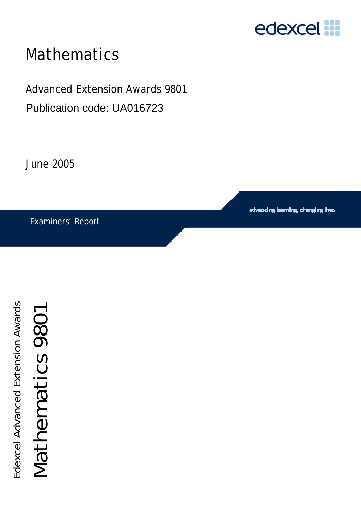

# Mathematics

Advanced Extension Awards 9801 Publication code: UA016723

June 2005

Examiners' Report

advancing learning, changing lives

Edexcel Advanced Extension Awards Edexcel Advanced Extension Awards

Mathematics 9801

Mathematics 9801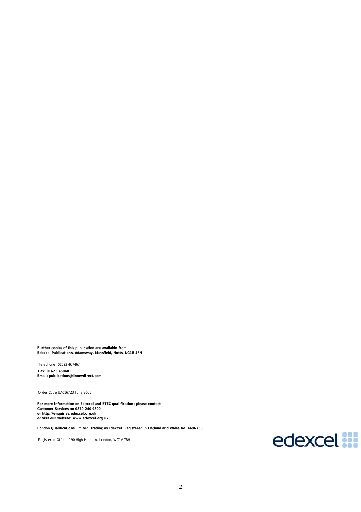**Further copies of this publication are available from Edexcel Publications, Adamsway, Mansfield, Notts, NG18 4FN** 

Telephone: 01623 467467 **Fax: 01623 450481 Email: publications@linneydirect.com** 

Order Code UA016723 June 2005

**For more information on Edexcel and BTEC qualifications please contact Customer Services on 0870 240 9800 or http://enquiries.edexcel.org.uk or visit our website: www.edexcel.org.uk** 

**London Qualifications Limited, trading as Edexcel. Registered in England and Wales No. 4496750** 

Registered Office: 190 High Holborn, London, WC1V 7BH

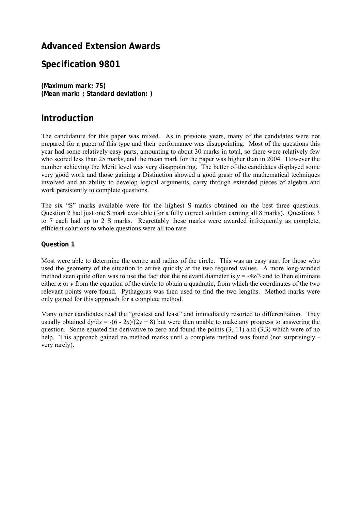## **Advanced Extension Awards**

## **Specification 9801**

**(Maximum mark: 75) (Mean mark: ; Standard deviation: )** 

## **Introduction**

The candidature for this paper was mixed. As in previous years, many of the candidates were not prepared for a paper of this type and their performance was disappointing. Most of the questions this year had some relatively easy parts, amounting to about 30 marks in total, so there were relatively few who scored less than 25 marks, and the mean mark for the paper was higher than in 2004. However the number achieving the Merit level was very disappointing. The better of the candidates displayed some very good work and those gaining a Distinction showed a good grasp of the mathematical techniques involved and an ability to develop logical arguments, carry through extended pieces of algebra and work persistently to complete questions.

The six "S" marks available were for the highest S marks obtained on the best three questions. Question 2 had just one S mark available (for a fully correct solution earning all 8 marks). Questions 3 to 7 each had up to 2 S marks. Regrettably these marks were awarded infrequently as complete, efficient solutions to whole questions were all too rare.

#### **Question 1**

Most were able to determine the centre and radius of the circle. This was an easy start for those who used the geometry of the situation to arrive quickly at the two required values. A more long-winded method seen quite often was to use the fact that the relevant diameter is  $y = -4x/3$  and to then eliminate either *x* or *y* from the equation of the circle to obtain a quadratic, from which the coordinates of the two relevant points were found. Pythagoras was then used to find the two lengths. Method marks were only gained for this approach for a complete method.

Many other candidates read the "greatest and least" and immediately resorted to differentiation. They usually obtained  $dy/dx = -(6 - 2x)/(2y + 8)$  but were then unable to make any progress to answering the question. Some equated the derivative to zero and found the points  $(3,-11)$  and  $(3,3)$  which were of no help. This approach gained no method marks until a complete method was found (not surprisingly very rarely).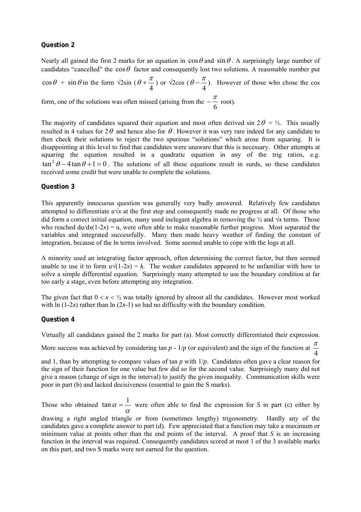#### **Question 2**

Nearly all gained the first 2 marks for an equation in  $\cos\theta$  and  $\sin\theta$ . A surprisingly large number of candidates "cancelled" the  $\cos\theta$  factor and consequently lost two solutions. A reasonable number put  $\cos\theta$  +  $\sin\theta$  in the form  $\sqrt{2}\sin(\theta+\frac{\pi}{4})$  or  $\sqrt{2}\cos(\theta-\frac{\pi}{4})$ . However of those who chose the cos form, one of the solutions was often missed (arising from the  $-\frac{\pi}{6}$  root).

The majority of candidates squared their equation and most often derived sin  $2\theta = \frac{1}{2}$ . This usually resulted in 4 values for  $2\theta$  and hence also for  $\theta$ . However it was very rare indeed for any candidate to then check their solutions to reject the two spurious "solutions" which arose from squaring. It is disappointing at this level to find that candidates were unaware that this is necessary. Other attempts at squaring the equation resulted in a quadratic equation in any of the trig ratios, e.g.  $\tan^2 \theta - 4 \tan \theta + 1 = 0$ . The solutions of all these equations result in surds, so these candidates received some credit but were unable to complete the solutions.

#### **Question 3**

This apparently innocuous question was generally very badly answered. Relatively few candidates attempted to differentiate  $u\sqrt{x}$  at the first step and consequently made no progress at all. Of those who did form a correct initial equation, many used inelegant algebra in removing the  $\frac{1}{2}$  and  $\sqrt{x}$  terms. Those who reached  $du/dx(1-2x) = u$ , were often able to make reasonable further progress. Most separated the variables and integrated successfully. Many then made heavy weather of finding the constant of integration, because of the ln terms involved. Some seemed unable to cope with the logs at all.

A minority used an integrating factor approach, often determining the correct factor, but then seemed unable to use it to form  $u\sqrt{(1-2x)} = k$ . The weaker candidates appeared to be unfamiliar with how to solve a simple differential equation. Surprisingly many attempted to use the boundary condition at far too early a stage, even before attempting any integration.

The given fact that  $0 < x < \frac{1}{2}$  was totally ignored by almost all the candidates. However most worked with  $\ln(1-2x)$  rather than  $\ln(2x-1)$  so had no difficulty with the boundary condition.

#### **Question 4**

Virtually all candidates gained the 2 marks for part (a). Most correctly differentiated their expression.

More success was achieved by considering tan  $p - 1/p$  (or equivalent) and the sign of the function at  $\frac{\pi}{4}$ 

and 1, than by attempting to compare values of tan *p* with 1/*p*. Candidates often gave a clear reason for the sign of their function for one value but few did so for the second value. Surprisingly many did not give a reason (change of sign in the interval) to justify the given inequality. Communication skills were poor in part (b) and lacked decisiveness (essential to gain the S marks).

Those who obtained  $\tan \alpha = \frac{1}{\alpha}$  $\tan \alpha = \frac{1}{\alpha}$  were often able to find the expression for *S* in part (c) either by drawing a right angled triangle or from (sometimes lengthy) trigonometry. Hardly any of the candidates gave a complete answer to part (d). Few appreciated that a function may take a maximum or minimum value at points other than the end points of the interval. A proof that *S* is an increasing function in the interval was required. Consequently candidates scored at most 1 of the 3 available marks on this part, and two S marks were not earned for the question.